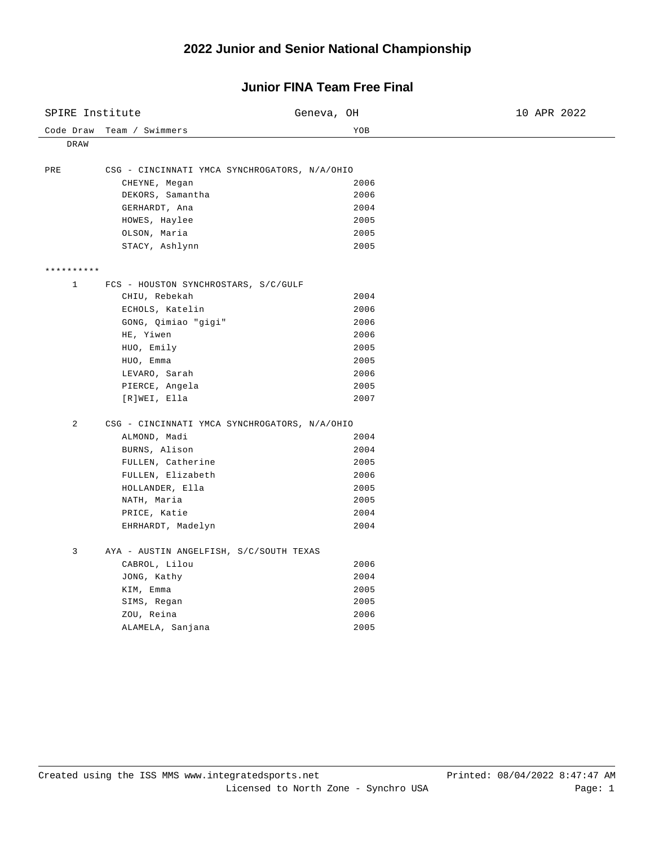#### **2022 Junior and Senior National Championship**

### Code Draw Team / Swimmers The Code Draw Team / Swimmers SPIRE Institute Geneva, OH 30 APR 2022 DRAW PRE CSG - CINCINNATI YMCA SYNCHROGATORS, N/A/OHIO CHEYNE, Megan 2006 DEKORS, Samantha 2006 GERHARDT, Ana 2004 HOWES, Haylee 2005 OLSON, Maria 2005 STACY, Ashlynn 2005 \*\*\*\*\*\*\*\*\*\* 1 FCS - HOUSTON SYNCHROSTARS, S/C/GULF CHIU, Rebekah 2004 ECHOLS, Katelin 2006 GONG, Qimiao "gigi" 2006 HE, Yiwen 2006 HUO, Emily 2005 HUO, Emma 2005 LEVARO, Sarah 2006 PIERCE, Angela 2005 [R]WEI, Ella 2007 2 CSG - CINCINNATI YMCA SYNCHROGATORS, N/A/OHIO ALMOND, Madi 2004 BURNS, Alison 2004 FULLEN, Catherine 2005 FULLEN, Elizabeth 2006 HOLLANDER, Ella 2005 NATH, Maria 2005 PRICE, Katie 2004 EHRHARDT, Madelyn 2004 3 AYA - AUSTIN ANGELFISH, S/C/SOUTH TEXAS CABROL, Lilou 2006 JONG, Kathy 2004 KIM, Emma 2005 SIMS, Regan 2005 ZOU, Reina 2006 ALAMELA, Sanjana 2005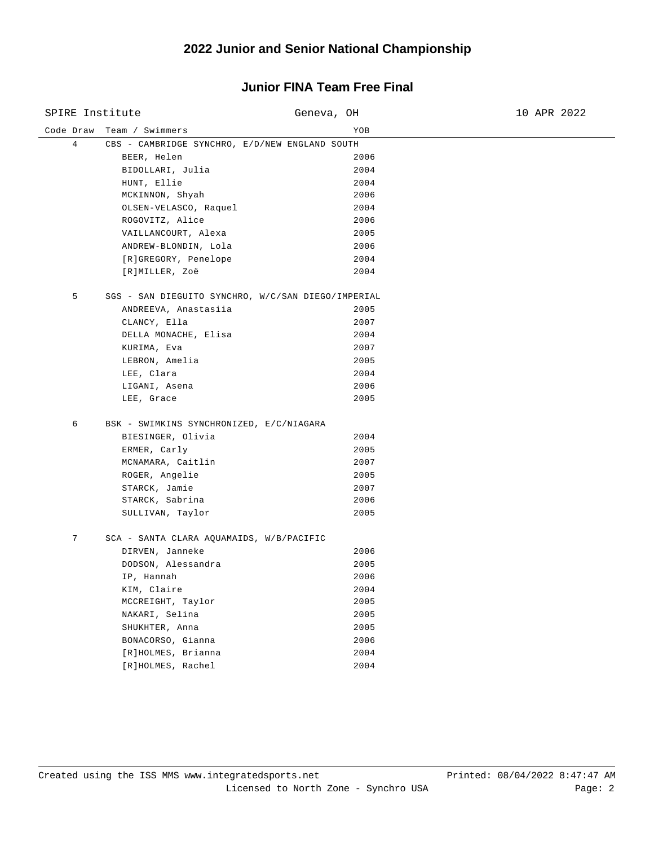# **2022 Junior and Senior National Championship**

| SPIRE Institute |                                                    | Geneva, OH | 10 APR 2022 |
|-----------------|----------------------------------------------------|------------|-------------|
| Code Draw       | Team / Swimmers                                    | YOB        |             |
| 4               | CBS - CAMBRIDGE SYNCHRO, E/D/NEW ENGLAND SOUTH     |            |             |
|                 | BEER, Helen                                        | 2006       |             |
|                 | BIDOLLARI, Julia                                   | 2004       |             |
|                 | HUNT, Ellie                                        | 2004       |             |
|                 | MCKINNON, Shyah                                    | 2006       |             |
|                 | OLSEN-VELASCO, Raquel                              | 2004       |             |
|                 | ROGOVITZ, Alice                                    | 2006       |             |
|                 | VAILLANCOURT, Alexa                                | 2005       |             |
|                 | ANDREW-BLONDIN, Lola                               | 2006       |             |
|                 | [R]GREGORY, Penelope                               | 2004       |             |
|                 | [R]MILLER, Zoë                                     | 2004       |             |
| 5               | SGS - SAN DIEGUITO SYNCHRO, W/C/SAN DIEGO/IMPERIAL |            |             |
|                 | ANDREEVA, Anastasiia                               | 2005       |             |
|                 | CLANCY, Ella                                       | 2007       |             |
|                 | DELLA MONACHE, Elisa                               | 2004       |             |
|                 | KURIMA, Eva                                        | 2007       |             |
|                 | LEBRON, Amelia                                     | 2005       |             |
|                 | LEE, Clara                                         | 2004       |             |
|                 | LIGANI, Asena                                      | 2006       |             |
|                 | LEE, Grace                                         | 2005       |             |
| 6               | BSK - SWIMKINS SYNCHRONIZED, E/C/NIAGARA           |            |             |
|                 | BIESINGER, Olivia                                  | 2004       |             |
|                 | ERMER, Carly                                       | 2005       |             |
|                 | MCNAMARA, Caitlin                                  | 2007       |             |
|                 | ROGER, Angelie                                     | 2005       |             |
|                 | STARCK, Jamie                                      | 2007       |             |
|                 | STARCK, Sabrina                                    | 2006       |             |
|                 | SULLIVAN, Taylor                                   | 2005       |             |
| 7               | SCA - SANTA CLARA AQUAMAIDS, W/B/PACIFIC           |            |             |
|                 | DIRVEN, Janneke                                    | 2006       |             |
|                 | DODSON, Alessandra                                 | 2005       |             |
|                 | IP, Hannah                                         | 2006       |             |
|                 | KIM, Claire                                        | 2004       |             |
|                 | MCCREIGHT, Taylor                                  | 2005       |             |
|                 | NAKARI, Selina                                     | 2005       |             |
|                 | SHUKHTER, Anna                                     | 2005       |             |
|                 | BONACORSO, Gianna                                  | 2006       |             |
|                 | [R]HOLMES, Brianna                                 | 2004       |             |
|                 | [R]HOLMES, Rachel                                  | 2004       |             |
|                 |                                                    |            |             |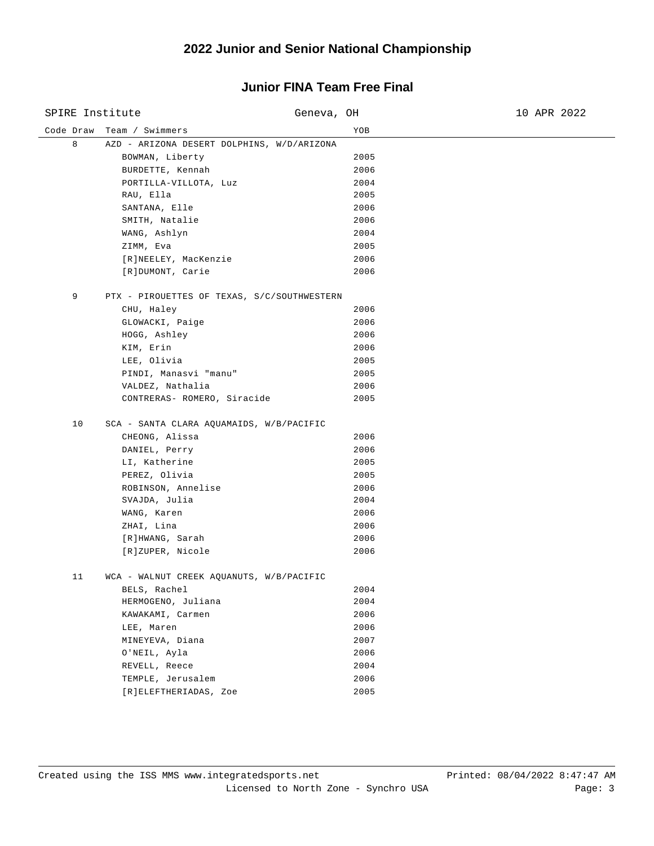# **2022 Junior and Senior National Championship**

| SPIRE Institute |                                             | Geneva, OH | 10 APR 2022 |
|-----------------|---------------------------------------------|------------|-------------|
| Code Draw       | Team / Swimmers                             | YOB        |             |
| 8               | AZD - ARIZONA DESERT DOLPHINS, W/D/ARIZONA  |            |             |
|                 | BOWMAN, Liberty                             | 2005       |             |
|                 | BURDETTE, Kennah                            | 2006       |             |
|                 | PORTILLA-VILLOTA, Luz                       | 2004       |             |
|                 | RAU, Ella                                   | 2005       |             |
|                 | SANTANA, Elle                               | 2006       |             |
|                 | SMITH, Natalie                              | 2006       |             |
|                 | WANG, Ashlyn                                | 2004       |             |
|                 | ZIMM, Eva                                   | 2005       |             |
|                 | [R]NEELEY, MacKenzie                        | 2006       |             |
|                 | [R]DUMONT, Carie                            | 2006       |             |
| 9               | PTX - PIROUETTES OF TEXAS, S/C/SOUTHWESTERN |            |             |
|                 | CHU, Haley                                  | 2006       |             |
|                 | GLOWACKI, Paige                             | 2006       |             |
|                 | HOGG, Ashley                                | 2006       |             |
|                 | KIM, Erin                                   | 2006       |             |
|                 | LEE, Olivia                                 | 2005       |             |
|                 | PINDI, Manasvi "manu"                       | 2005       |             |
|                 | VALDEZ, Nathalia                            | 2006       |             |
|                 | CONTRERAS- ROMERO, Siracide                 | 2005       |             |
| 10              | SCA - SANTA CLARA AQUAMAIDS, W/B/PACIFIC    |            |             |
|                 | CHEONG, Alissa                              | 2006       |             |
|                 | DANIEL, Perry                               | 2006       |             |
|                 | LI, Katherine                               | 2005       |             |
|                 | PEREZ, Olivia                               | 2005       |             |
|                 | ROBINSON, Annelise                          | 2006       |             |
|                 | SVAJDA, Julia                               | 2004       |             |
|                 | WANG, Karen                                 | 2006       |             |
|                 | ZHAI, Lina                                  | 2006       |             |
|                 | [R]HWANG, Sarah                             | 2006       |             |
|                 | [R]ZUPER, Nicole                            | 2006       |             |
|                 |                                             |            |             |
| 11              | WCA - WALNUT CREEK AQUANUTS, W/B/PACIFIC    |            |             |
|                 | BELS, Rachel                                | 2004       |             |
|                 | HERMOGENO, Juliana                          | 2004       |             |
|                 | KAWAKAMI, Carmen                            | 2006       |             |
|                 | LEE, Maren                                  | 2006       |             |
|                 | MINEYEVA, Diana                             | 2007       |             |
|                 | O'NEIL, Ayla                                | 2006       |             |
|                 | REVELL, Reece                               | 2004       |             |
|                 | TEMPLE, Jerusalem                           | 2006       |             |
|                 | [R]ELEFTHERIADAS, Zoe                       | 2005       |             |